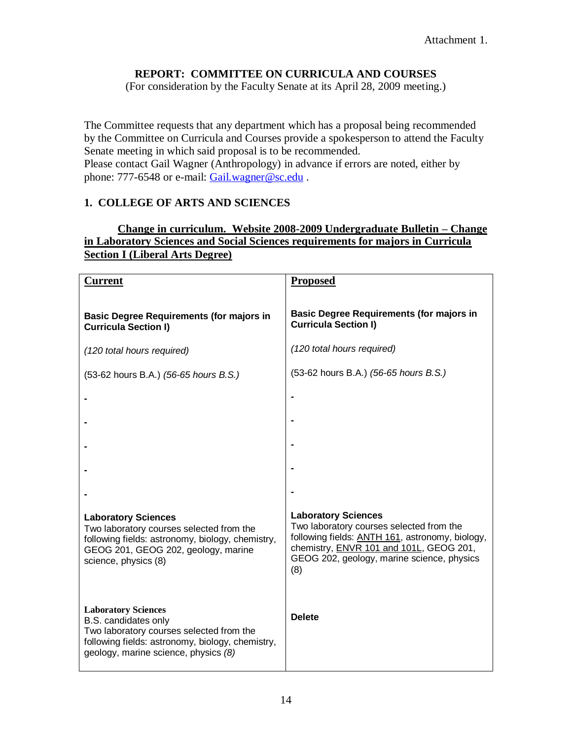#### **REPORT: COMMITTEE ON CURRICULA AND COURSES**

(For consideration by the Faculty Senate at its April 28, 2009 meeting.)

The Committee requests that any department which has a proposal being recommended by the Committee on Curricula and Courses provide a spokesperson to attend the Faculty Senate meeting in which said proposal is to be recommended. Please contact Gail Wagner (Anthropology) in advance if errors are noted, either by phone: 777-6548 or e-mail: [Gail.wagner@sc.edu](mailto:Gail.wagner@sc.edu).

#### **1. COLLEGE OF ARTS AND SCIENCES**

#### **Change in curriculum. Website 2008-2009 Undergraduate Bulletin – Change in Laboratory Sciences and Social Sciences requirements for majors in Curricula Section I (Liberal Arts Degree)**

| <b>Current</b>                                                                                                                                                                             | <b>Proposed</b>                                                                                                                                                                                                                   |
|--------------------------------------------------------------------------------------------------------------------------------------------------------------------------------------------|-----------------------------------------------------------------------------------------------------------------------------------------------------------------------------------------------------------------------------------|
| <b>Basic Degree Requirements (for majors in</b><br><b>Curricula Section I)</b>                                                                                                             | <b>Basic Degree Requirements (for majors in</b><br><b>Curricula Section I)</b>                                                                                                                                                    |
| (120 total hours required)                                                                                                                                                                 | (120 total hours required)                                                                                                                                                                                                        |
| (53-62 hours B.A.) (56-65 hours B.S.)                                                                                                                                                      | (53-62 hours B.A.) (56-65 hours B.S.)                                                                                                                                                                                             |
|                                                                                                                                                                                            |                                                                                                                                                                                                                                   |
|                                                                                                                                                                                            |                                                                                                                                                                                                                                   |
|                                                                                                                                                                                            |                                                                                                                                                                                                                                   |
|                                                                                                                                                                                            |                                                                                                                                                                                                                                   |
|                                                                                                                                                                                            |                                                                                                                                                                                                                                   |
| <b>Laboratory Sciences</b><br>Two laboratory courses selected from the<br>following fields: astronomy, biology, chemistry,<br>GEOG 201, GEOG 202, geology, marine<br>science, physics (8)  | <b>Laboratory Sciences</b><br>Two laboratory courses selected from the<br>following fields: <b>ANTH 161</b> , astronomy, biology,<br>chemistry, ENVR 101 and 101L, GEOG 201,<br>GEOG 202, geology, marine science, physics<br>(8) |
| <b>Laboratory Sciences</b><br>B.S. candidates only<br>Two laboratory courses selected from the<br>following fields: astronomy, biology, chemistry,<br>geology, marine science, physics (8) | <b>Delete</b>                                                                                                                                                                                                                     |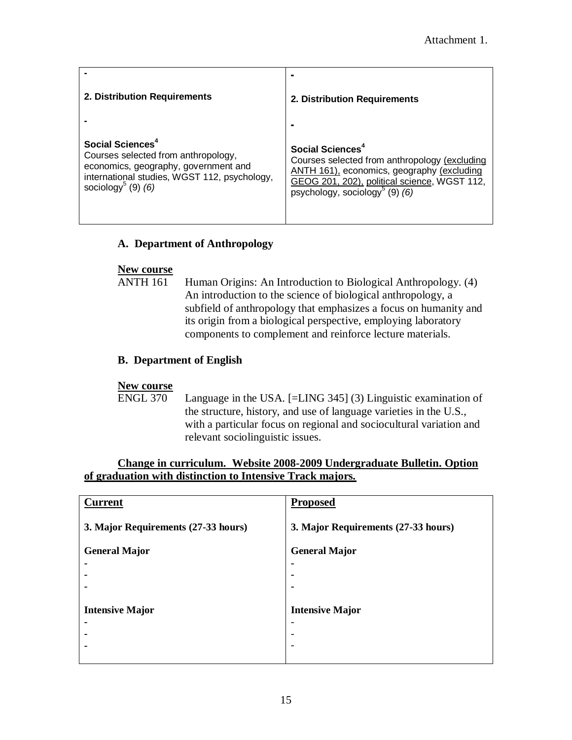| 2. Distribution Requirements                                                                                                                                                                    | $\blacksquare$<br>2. Distribution Requirements                                                                                                                                                                                              |
|-------------------------------------------------------------------------------------------------------------------------------------------------------------------------------------------------|---------------------------------------------------------------------------------------------------------------------------------------------------------------------------------------------------------------------------------------------|
| Social Sciences <sup>4</sup><br>Courses selected from anthropology,<br>economics, geography, government and<br>international studies, WGST 112, psychology,<br>sociology <sup>5</sup> (9) $(6)$ | $\blacksquare$<br>Social Sciences <sup>4</sup><br>Courses selected from anthropology (excluding<br>ANTH 161), economics, geography (excluding<br>GEOG 201, 202), political science, WGST 112,<br>psychology, sociology <sup>5</sup> (9) (6) |

#### **A. Department of Anthropology**

#### **New course**

ANTH 161 Human Origins: An Introduction to Biological Anthropology. (4) An introduction to the science of biological anthropology, a subfield of anthropology that emphasizes a focus on humanity and its origin from a biological perspective, employing laboratory components to complement and reinforce lecture materials.

#### **B. Department of English**

#### **New course**

ENGL 370 Language in the USA. [=LING 345] (3) Linguistic examination of the structure, history, and use of language varieties in the U.S., with a particular focus on regional and sociocultural variation and relevant sociolinguistic issues.

#### **Change in curriculum. Website 2008-2009 Undergraduate Bulletin. Option of graduation with distinction to Intensive Track majors.**

| <b>Current</b>                      | <b>Proposed</b>                     |
|-------------------------------------|-------------------------------------|
| 3. Major Requirements (27-33 hours) | 3. Major Requirements (27-33 hours) |
| <b>General Major</b>                | <b>General Major</b>                |
| ۰                                   |                                     |
|                                     | ۰                                   |
|                                     | ۰                                   |
|                                     |                                     |
| <b>Intensive Major</b>              | <b>Intensive Major</b>              |
| ۰                                   | -                                   |
|                                     | $\overline{\phantom{0}}$            |
|                                     | $\overline{\phantom{0}}$            |
|                                     |                                     |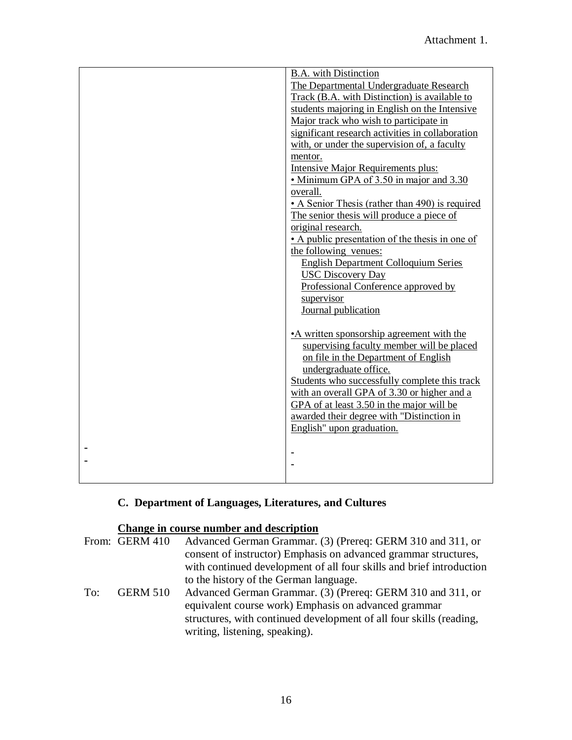| <b>B.A.</b> with Distinction                     |
|--------------------------------------------------|
| The Departmental Undergraduate Research          |
| Track (B.A. with Distinction) is available to    |
| students majoring in English on the Intensive    |
| Major track who wish to participate in           |
| significant research activities in collaboration |
| with, or under the supervision of, a faculty     |
| mentor.                                          |
| <b>Intensive Major Requirements plus:</b>        |
| • Minimum GPA of 3.50 in major and 3.30          |
| overall.                                         |
| • A Senior Thesis (rather than 490) is required  |
| The senior thesis will produce a piece of        |
| original research.                               |
| • A public presentation of the thesis in one of  |
| the following venues:                            |
| <b>English Department Colloquium Series</b>      |
| <b>USC Discovery Day</b>                         |
| Professional Conference approved by              |
| supervisor                                       |
| Journal publication                              |
|                                                  |
|                                                  |
| • A written sponsorship agreement with the       |
| supervising faculty member will be placed        |
| on file in the Department of English             |
| undergraduate office.                            |
| Students who successfully complete this track    |
| with an overall GPA of 3.30 or higher and a      |
| GPA of at least 3.50 in the major will be        |
| awarded their degree with "Distinction in        |
| English" upon graduation.                        |
|                                                  |
|                                                  |
|                                                  |
|                                                  |

## **C. Department of Languages, Literatures, and Cultures**

### **Change in course number and description**

|     | From: GERM 410  | Advanced German Grammar. (3) (Prereq: GERM 310 and 311, or           |
|-----|-----------------|----------------------------------------------------------------------|
|     |                 | consent of instructor) Emphasis on advanced grammar structures,      |
|     |                 | with continued development of all four skills and brief introduction |
|     |                 | to the history of the German language.                               |
| To: | <b>GERM 510</b> | Advanced German Grammar. (3) (Prereq: GERM 310 and 311, or           |
|     |                 | equivalent course work) Emphasis on advanced grammar                 |
|     |                 | structures, with continued development of all four skills (reading,  |
|     |                 | writing, listening, speaking).                                       |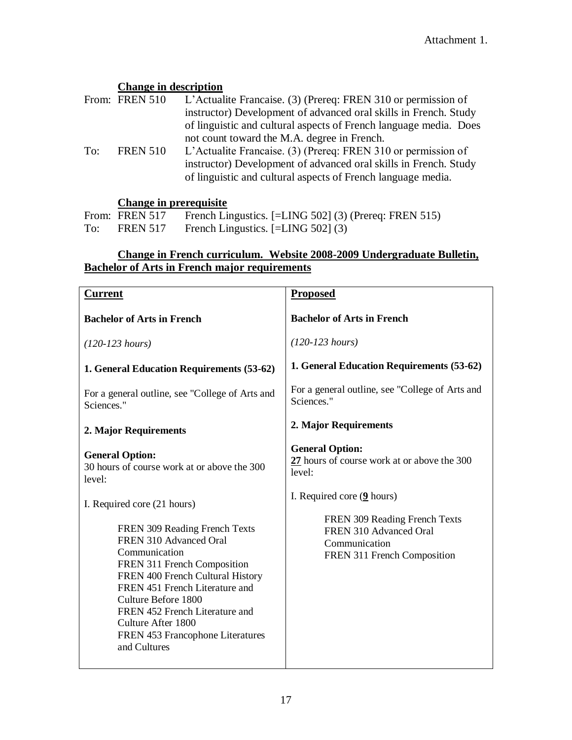#### **Change in description**

|     | From: FREN 510  | L'Actualite Francaise. (3) (Prereq: FREN 310 or permission of     |
|-----|-----------------|-------------------------------------------------------------------|
|     |                 | instructor) Development of advanced oral skills in French. Study  |
|     |                 | of linguistic and cultural aspects of French language media. Does |
|     |                 | not count toward the M.A. degree in French.                       |
| To: | <b>FREN 510</b> | L'Actualite Francaise. (3) (Prereq: FREN 310 or permission of     |
|     |                 | instructor) Development of advanced oral skills in French. Study  |
|     |                 | of linguistic and cultural aspects of French language media.      |

#### **Change in prerequisite**

From: FREN 517 French Lingustics. [=LING 502] (3) (Prereq: FREN 515) To: FREN 517 French Lingustics. [=LING 502] (3)

#### **Change in French curriculum. Website 2008-2009 Undergraduate Bulletin, Bachelor of Arts in French major requirements**

| <b>Current</b>                                                                                                                                                                                                                                                                                                   | <b>Proposed</b>                                                                                         |
|------------------------------------------------------------------------------------------------------------------------------------------------------------------------------------------------------------------------------------------------------------------------------------------------------------------|---------------------------------------------------------------------------------------------------------|
| <b>Bachelor of Arts in French</b>                                                                                                                                                                                                                                                                                | <b>Bachelor of Arts in French</b>                                                                       |
| $(120-123 \; hours)$                                                                                                                                                                                                                                                                                             | $(120-123 \; hours)$                                                                                    |
| 1. General Education Requirements (53-62)                                                                                                                                                                                                                                                                        | 1. General Education Requirements (53-62)                                                               |
| For a general outline, see "College of Arts and<br>Sciences."                                                                                                                                                                                                                                                    | For a general outline, see "College of Arts and<br>Sciences."                                           |
| 2. Major Requirements                                                                                                                                                                                                                                                                                            | 2. Major Requirements                                                                                   |
| <b>General Option:</b><br>30 hours of course work at or above the 300<br>level:                                                                                                                                                                                                                                  | <b>General Option:</b><br>27 hours of course work at or above the 300<br>level:                         |
| I. Required core (21 hours)                                                                                                                                                                                                                                                                                      | I. Required core $(9$ hours)                                                                            |
| FREN 309 Reading French Texts<br>FREN 310 Advanced Oral<br>Communication<br>FREN 311 French Composition<br>FREN 400 French Cultural History<br>FREN 451 French Literature and<br>Culture Before 1800<br>FREN 452 French Literature and<br>Culture After 1800<br>FREN 453 Francophone Literatures<br>and Cultures | FREN 309 Reading French Texts<br>FREN 310 Advanced Oral<br>Communication<br>FREN 311 French Composition |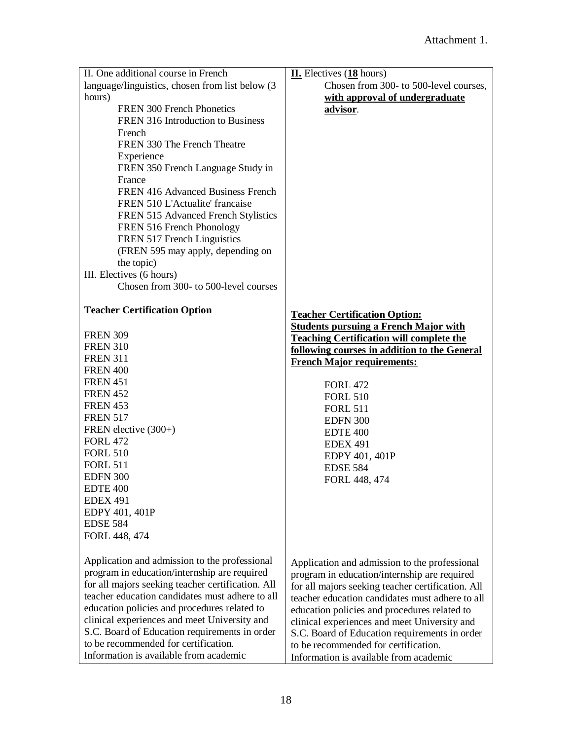| II. One additional course in French                                            | $II.$ Electives $(18$ hours)                                                   |
|--------------------------------------------------------------------------------|--------------------------------------------------------------------------------|
| language/linguistics, chosen from list below (3)                               | Chosen from 300- to 500-level courses,                                         |
| hours)                                                                         | with approval of undergraduate                                                 |
| FREN 300 French Phonetics                                                      | advisor.                                                                       |
| FREN 316 Introduction to Business                                              |                                                                                |
| French                                                                         |                                                                                |
| FREN 330 The French Theatre                                                    |                                                                                |
| Experience                                                                     |                                                                                |
| FREN 350 French Language Study in                                              |                                                                                |
| France                                                                         |                                                                                |
| FREN 416 Advanced Business French                                              |                                                                                |
| FREN 510 L'Actualite' francaise                                                |                                                                                |
| FREN 515 Advanced French Stylistics                                            |                                                                                |
| FREN 516 French Phonology                                                      |                                                                                |
| FREN 517 French Linguistics                                                    |                                                                                |
| (FREN 595 may apply, depending on                                              |                                                                                |
| the topic)                                                                     |                                                                                |
| III. Electives (6 hours)                                                       |                                                                                |
| Chosen from 300- to 500-level courses                                          |                                                                                |
|                                                                                |                                                                                |
| <b>Teacher Certification Option</b>                                            | <b>Teacher Certification Option:</b>                                           |
| <b>FREN 309</b>                                                                | <b>Students pursuing a French Major with</b>                                   |
| <b>FREN 310</b>                                                                | <b>Teaching Certification will complete the</b>                                |
| <b>FREN 311</b>                                                                | following courses in addition to the General                                   |
| <b>FREN 400</b>                                                                | <b>French Major requirements:</b>                                              |
| <b>FREN 451</b>                                                                |                                                                                |
| <b>FREN 452</b>                                                                | <b>FORL 472</b>                                                                |
| <b>FREN 453</b>                                                                | <b>FORL 510</b>                                                                |
| <b>FREN 517</b>                                                                | <b>FORL 511</b>                                                                |
| FREN elective (300+)                                                           | <b>EDFN 300</b><br><b>EDTE 400</b>                                             |
| <b>FORL 472</b>                                                                |                                                                                |
| <b>FORL 510</b>                                                                | <b>EDEX 491</b>                                                                |
| <b>FORL 511</b>                                                                | EDPY 401, 401P<br><b>EDSE 584</b>                                              |
| <b>EDFN 300</b>                                                                | FORL 448, 474                                                                  |
| EDTE 400                                                                       |                                                                                |
| <b>EDEX 491</b>                                                                |                                                                                |
| EDPY 401, 401P                                                                 |                                                                                |
| <b>EDSE 584</b>                                                                |                                                                                |
| FORL 448, 474                                                                  |                                                                                |
|                                                                                |                                                                                |
| Application and admission to the professional                                  | Application and admission to the professional                                  |
| program in education/internship are required                                   | program in education/internship are required                                   |
| for all majors seeking teacher certification. All                              | for all majors seeking teacher certification. All                              |
| teacher education candidates must adhere to all                                | teacher education candidates must adhere to all                                |
| education policies and procedures related to                                   | education policies and procedures related to                                   |
|                                                                                |                                                                                |
| clinical experiences and meet University and                                   | clinical experiences and meet University and                                   |
| S.C. Board of Education requirements in order                                  | S.C. Board of Education requirements in order                                  |
| to be recommended for certification.<br>Information is available from academic | to be recommended for certification.<br>Information is available from academic |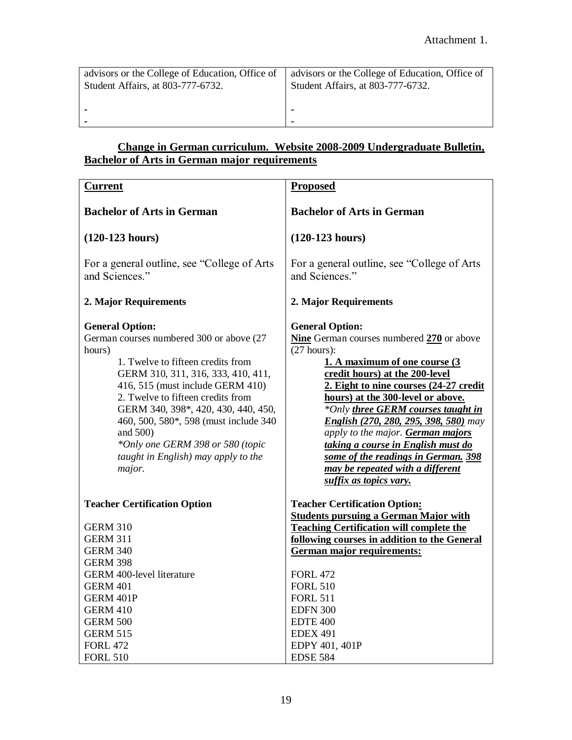| advisors or the College of Education, Office of | advisors or the College of Education, Office of |
|-------------------------------------------------|-------------------------------------------------|
| Student Affairs, at 803-777-6732.               | Student Affairs, at 803-777-6732.               |
|                                                 | -                                               |

#### **Change in German curriculum. Website 2008-2009 Undergraduate Bulletin, Bachelor of Arts in German major requirements**

| <b>Current</b>                                                                                                                                                                                                                                                                                                                                                                                                     | <b>Proposed</b>                                                                                                                                                                                                                                                                                                                                                                                                                                                                                     |
|--------------------------------------------------------------------------------------------------------------------------------------------------------------------------------------------------------------------------------------------------------------------------------------------------------------------------------------------------------------------------------------------------------------------|-----------------------------------------------------------------------------------------------------------------------------------------------------------------------------------------------------------------------------------------------------------------------------------------------------------------------------------------------------------------------------------------------------------------------------------------------------------------------------------------------------|
| <b>Bachelor of Arts in German</b>                                                                                                                                                                                                                                                                                                                                                                                  | <b>Bachelor of Arts in German</b>                                                                                                                                                                                                                                                                                                                                                                                                                                                                   |
| $(120-123$ hours)                                                                                                                                                                                                                                                                                                                                                                                                  | $(120-123$ hours)                                                                                                                                                                                                                                                                                                                                                                                                                                                                                   |
| For a general outline, see "College of Arts"<br>and Sciences."                                                                                                                                                                                                                                                                                                                                                     | For a general outline, see "College of Arts"<br>and Sciences."                                                                                                                                                                                                                                                                                                                                                                                                                                      |
| 2. Major Requirements                                                                                                                                                                                                                                                                                                                                                                                              | 2. Major Requirements                                                                                                                                                                                                                                                                                                                                                                                                                                                                               |
| <b>General Option:</b><br>German courses numbered 300 or above (27<br>hours)<br>1. Twelve to fifteen credits from<br>GERM 310, 311, 316, 333, 410, 411,<br>416, 515 (must include GERM 410)<br>2. Twelve to fifteen credits from<br>GERM 340, 398*, 420, 430, 440, 450,<br>460, 500, 580*, 598 (must include 340)<br>and 500)<br>*Only one GERM 398 or 580 (topic<br>taught in English) may apply to the<br>major. | <b>General Option:</b><br>Nine German courses numbered 270 or above<br>(27 hours):<br>1. A maximum of one course (3<br>credit hours) at the 200-level<br>2. Eight to nine courses (24-27 credit<br>hours) at the 300-level or above.<br>*Only three GERM courses taught in<br>English (270, 280, 295, 398, 580) may<br>apply to the major. German majors<br>taking a course in English must do<br>some of the readings in German. 398<br>may be repeated with a different<br>suffix as topics vary. |
| <b>Teacher Certification Option</b><br><b>GERM 310</b><br><b>GERM 311</b><br><b>GERM 340</b>                                                                                                                                                                                                                                                                                                                       | <b>Teacher Certification Option:</b><br><b>Students pursuing a German Major with</b><br><b>Teaching Certification will complete the</b><br>following courses in addition to the General<br>German major requirements:                                                                                                                                                                                                                                                                               |
| <b>GERM 398</b>                                                                                                                                                                                                                                                                                                                                                                                                    |                                                                                                                                                                                                                                                                                                                                                                                                                                                                                                     |
| <b>GERM 400-level literature</b><br><b>GERM 401</b><br>GERM 401P<br><b>GERM 410</b><br><b>GERM 500</b>                                                                                                                                                                                                                                                                                                             | <b>FORL 472</b><br><b>FORL 510</b><br><b>FORL 511</b><br><b>EDFN 300</b><br><b>EDTE 400</b>                                                                                                                                                                                                                                                                                                                                                                                                         |
| <b>GERM 515</b><br><b>FORL 472</b><br><b>FORL 510</b>                                                                                                                                                                                                                                                                                                                                                              | <b>EDEX 491</b><br>EDPY 401, 401P<br><b>EDSE 584</b>                                                                                                                                                                                                                                                                                                                                                                                                                                                |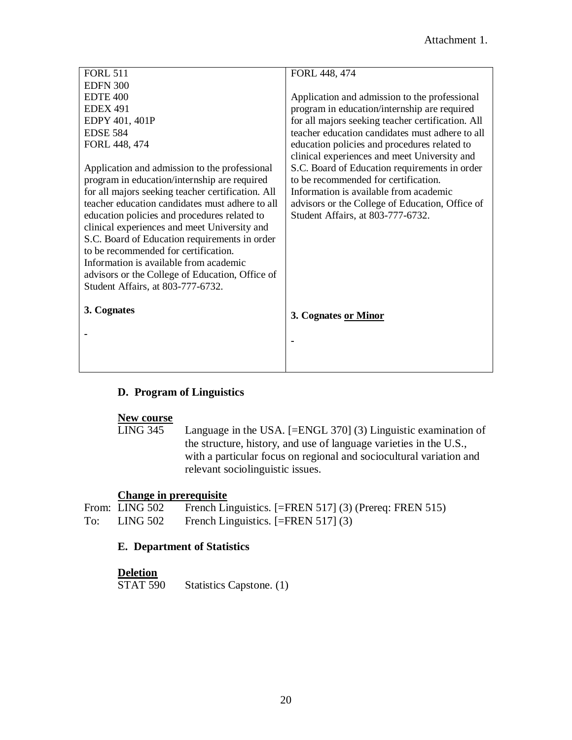| FORL 448, 474                                     |
|---------------------------------------------------|
|                                                   |
| Application and admission to the professional     |
| program in education/internship are required      |
| for all majors seeking teacher certification. All |
| teacher education candidates must adhere to all   |
| education policies and procedures related to      |
| clinical experiences and meet University and      |
| S.C. Board of Education requirements in order     |
| to be recommended for certification.              |
| Information is available from academic            |
| advisors or the College of Education, Office of   |
| Student Affairs, at 803-777-6732.                 |
|                                                   |
|                                                   |
|                                                   |
|                                                   |
|                                                   |
|                                                   |
|                                                   |
| 3. Cognates or Minor                              |
|                                                   |
|                                                   |
|                                                   |
|                                                   |
|                                                   |

#### **D. Program of Linguistics**

**New course** Language in the USA.  $[=ENGL 370]$  (3) Linguistic examination of the structure, history, and use of language varieties in the U.S., with a particular focus on regional and sociocultural variation and relevant sociolinguistic issues.

#### **Change in prerequisite**

|     | From: LING 502 | French Linguistics. [=FREN 517] (3) (Prereq: FREN 515) |
|-----|----------------|--------------------------------------------------------|
| To: | LING 502       | French Linguistics. $[=FREN 517]$ (3)                  |

#### **E. Department of Statistics**

**Deletion**<br>STAT 590 Statistics Capstone. (1)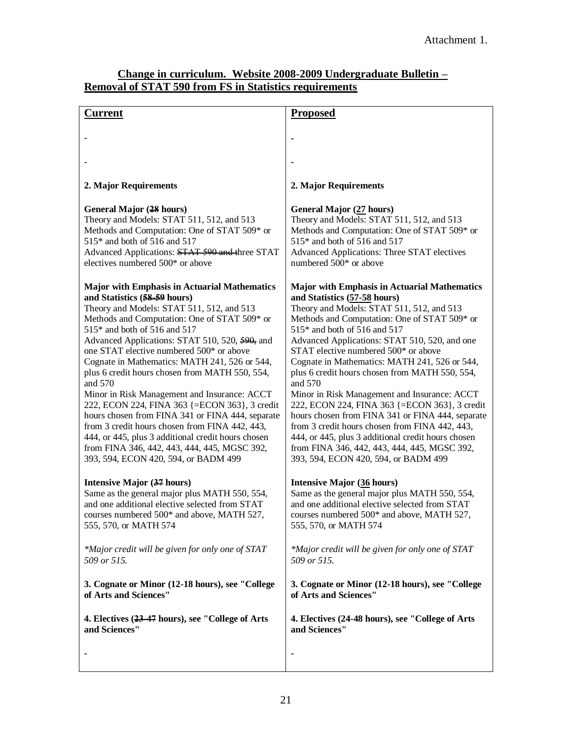#### **Change in curriculum. Website 2008-2009 Undergraduate Bulletin – Removal of STAT 590 from FS in Statistics requirements**

| Current                                             | <b>Proposed</b>                                     |
|-----------------------------------------------------|-----------------------------------------------------|
|                                                     |                                                     |
|                                                     |                                                     |
|                                                     |                                                     |
| 2. Major Requirements                               | 2. Major Requirements                               |
| <b>General Major (28 hours)</b>                     | General Major (27 hours)                            |
| Theory and Models: STAT 511, 512, and 513           | Theory and Models: STAT 511, 512, and 513           |
| Methods and Computation: One of STAT 509* or        | Methods and Computation: One of STAT 509* or        |
| 515* and both of 516 and 517                        | 515* and both of 516 and 517                        |
| Advanced Applications: STAT 590 and three STAT      | Advanced Applications: Three STAT electives         |
| electives numbered 500* or above                    | numbered 500* or above                              |
| <b>Major with Emphasis in Actuarial Mathematics</b> | <b>Major with Emphasis in Actuarial Mathematics</b> |
| and Statistics (58-59 hours)                        | and Statistics (57-58 hours)                        |
| Theory and Models: STAT 511, 512, and 513           | Theory and Models: STAT 511, 512, and 513           |
| Methods and Computation: One of STAT 509* or        | Methods and Computation: One of STAT 509* or        |
| 515* and both of 516 and 517                        | 515* and both of 516 and 517                        |
| Advanced Applications: STAT 510, 520, 590, and      | Advanced Applications: STAT 510, 520, and one       |
| one STAT elective numbered 500* or above            | STAT elective numbered 500* or above                |
| Cognate in Mathematics: MATH 241, 526 or 544,       | Cognate in Mathematics: MATH 241, 526 or 544,       |
| plus 6 credit hours chosen from MATH 550, 554,      | plus 6 credit hours chosen from MATH 550, 554,      |
| and 570                                             | and 570                                             |
| Minor in Risk Management and Insurance: ACCT        | Minor in Risk Management and Insurance: ACCT        |
| 222, ECON 224, FINA 363 {=ECON 363}, 3 credit       | 222, ECON 224, FINA 363 {=ECON 363}, 3 credit       |
| hours chosen from FINA 341 or FINA 444, separate    | hours chosen from FINA 341 or FINA 444, separate    |
| from 3 credit hours chosen from FINA 442, 443,      | from 3 credit hours chosen from FINA 442, 443,      |
| 444, or 445, plus 3 additional credit hours chosen  | 444, or 445, plus 3 additional credit hours chosen  |
| from FINA 346, 442, 443, 444, 445, MGSC 392,        | from FINA 346, 442, 443, 444, 445, MGSC 392,        |
| 393, 594, ECON 420, 594, or BADM 499                | 393, 594, ECON 420, 594, or BADM 499                |
| Intensive Major (37 hours)                          | <b>Intensive Major (36 hours)</b>                   |
| Same as the general major plus MATH 550, 554,       | Same as the general major plus MATH 550, 554,       |
| and one additional elective selected from STAT      | and one additional elective selected from STAT      |
| courses numbered 500* and above, MATH 527,          | courses numbered 500* and above, MATH 527,          |
| 555, 570, or MATH 574                               | 555, 570, or MATH 574                               |
| *Major credit will be given for only one of STAT    | *Major credit will be given for only one of STAT    |
| 509 or 515.                                         | 509 or 515.                                         |
| 3. Cognate or Minor (12-18 hours), see "College     | 3. Cognate or Minor (12-18 hours), see "College     |
| of Arts and Sciences"                               | of Arts and Sciences"                               |
| 4. Electives (23-47 hours), see "College of Arts    | 4. Electives (24-48 hours), see "College of Arts    |
| and Sciences"                                       | and Sciences"                                       |
|                                                     |                                                     |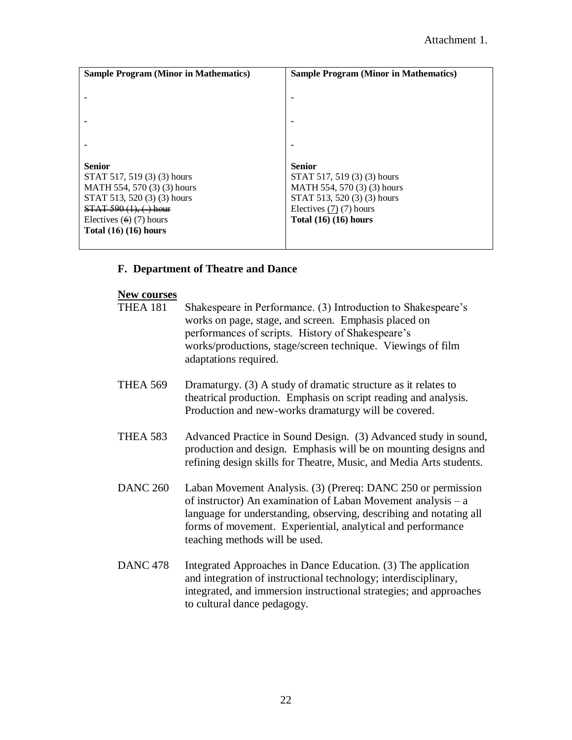| <b>Sample Program (Minor in Mathematics)</b> | <b>Sample Program (Minor in Mathematics)</b> |
|----------------------------------------------|----------------------------------------------|
|                                              |                                              |
|                                              | ۰                                            |
|                                              |                                              |
|                                              |                                              |
|                                              |                                              |
|                                              |                                              |
| <b>Senior</b>                                | <b>Senior</b>                                |
| STAT 517, 519 (3) (3) hours                  | STAT 517, 519 (3) (3) hours                  |
| MATH 554, 570 (3) (3) hours                  | MATH 554, 570 (3) (3) hours                  |
| STAT 513, 520 (3) (3) hours                  | STAT 513, 520 (3) (3) hours                  |
| $STAT 590 (1), (*)$ hour                     | Electives $(7)$ $(7)$ hours                  |
| Electives $(6)$ (7) hours                    | Total $(16)$ $(16)$ hours                    |
| Total $(16)$ $(16)$ hours                    |                                              |
|                                              |                                              |

#### **F. Department of Theatre and Dance**

#### **New courses**

| <b>THEA 181</b> | Shakespeare in Performance. (3) Introduction to Shakespeare's |
|-----------------|---------------------------------------------------------------|
|                 | works on page, stage, and screen. Emphasis placed on          |
|                 | performances of scripts. History of Shakespeare's             |
|                 | works/productions, stage/screen technique. Viewings of film   |
|                 | adaptations required.                                         |
|                 |                                                               |

- THEA 569 Dramaturgy. (3) A study of dramatic structure as it relates to theatrical production. Emphasis on script reading and analysis. Production and new-works dramaturgy will be covered.
- THEA 583 Advanced Practice in Sound Design. (3) Advanced study in sound, production and design. Emphasis will be on mounting designs and refining design skills for Theatre, Music, and Media Arts students.
- DANC 260 Laban Movement Analysis. (3) (Prereq: DANC 250 or permission of instructor) An examination of Laban Movement analysis – a language for understanding, observing, describing and notating all forms of movement. Experiential, analytical and performance teaching methods will be used.
- DANC 478 Integrated Approaches in Dance Education. (3) The application and integration of instructional technology; interdisciplinary, integrated, and immersion instructional strategies; and approaches to cultural dance pedagogy.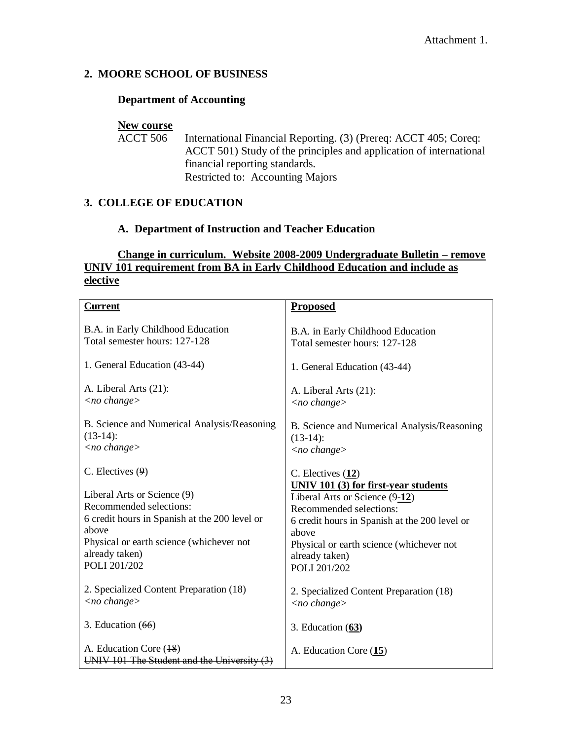#### **2. MOORE SCHOOL OF BUSINESS**

#### **Department of Accounting**

# **New course**<br>ACCT 506

International Financial Reporting. (3) (Prereq: ACCT 405; Coreq: ACCT 501) Study of the principles and application of international financial reporting standards. Restricted to: Accounting Majors

#### **3. COLLEGE OF EDUCATION**

#### **A. Department of Instruction and Teacher Education**

#### **Change in curriculum. Website 2008-2009 Undergraduate Bulletin – remove UNIV 101 requirement from BA in Early Childhood Education and include as elective**

| <b>Current</b>                                                                                                                                                                                 | <b>Proposed</b>                                                                                                                                                                                                                           |
|------------------------------------------------------------------------------------------------------------------------------------------------------------------------------------------------|-------------------------------------------------------------------------------------------------------------------------------------------------------------------------------------------------------------------------------------------|
| B.A. in Early Childhood Education<br>Total semester hours: 127-128                                                                                                                             | B.A. in Early Childhood Education<br>Total semester hours: 127-128                                                                                                                                                                        |
| 1. General Education (43-44)                                                                                                                                                                   | 1. General Education (43-44)                                                                                                                                                                                                              |
| A. Liberal Arts (21):<br>$\langle$ no change $\rangle$                                                                                                                                         | A. Liberal Arts (21):<br>$\langle$ no change $\rangle$                                                                                                                                                                                    |
| B. Science and Numerical Analysis/Reasoning<br>$(13-14)$ :<br>$\langle$ no change $\rangle$                                                                                                    | B. Science and Numerical Analysis/Reasoning<br>$(13-14)$ :<br>$\langle$ no change $\rangle$                                                                                                                                               |
| $C.$ Electives $(9)$                                                                                                                                                                           | $C.$ Electives $(12)$                                                                                                                                                                                                                     |
| Liberal Arts or Science (9)<br>Recommended selections:<br>6 credit hours in Spanish at the 200 level or<br>above<br>Physical or earth science (whichever not<br>already taken)<br>POLI 201/202 | UNIV 101 (3) for first-year students<br>Liberal Arts or Science (9-12)<br>Recommended selections:<br>6 credit hours in Spanish at the 200 level or<br>above<br>Physical or earth science (whichever not<br>already taken)<br>POLI 201/202 |
| 2. Specialized Content Preparation (18)<br>$\langle$ no change $\rangle$                                                                                                                       | 2. Specialized Content Preparation (18)<br>$\langle$ no change $\rangle$                                                                                                                                                                  |
| 3. Education $(66)$                                                                                                                                                                            | 3. Education $(63)$                                                                                                                                                                                                                       |
| A. Education Core (18)<br>UNIV 101 The Student and the University                                                                                                                              | A. Education Core (15)                                                                                                                                                                                                                    |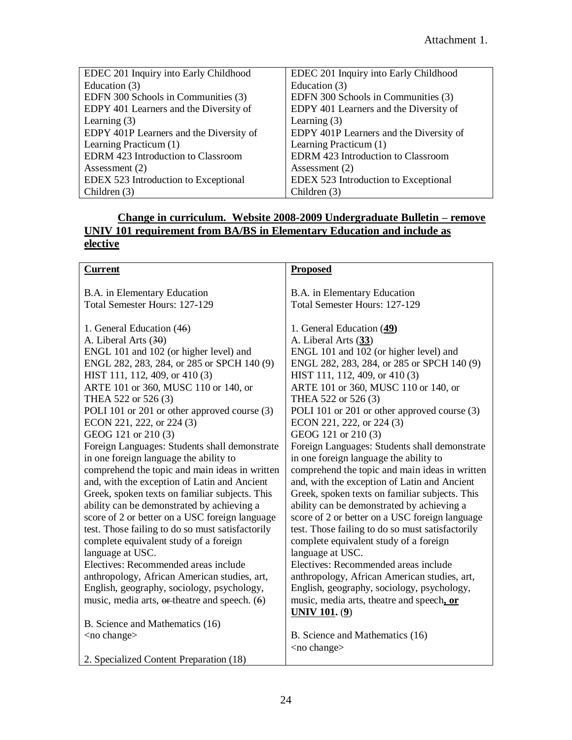| EDEC 201 Inquiry into Early Childhood     | EDEC 201 Inquiry into Early Childhood     |
|-------------------------------------------|-------------------------------------------|
| Education (3)                             | Education (3)                             |
| EDFN 300 Schools in Communities (3)       | EDFN 300 Schools in Communities (3)       |
| EDPY 401 Learners and the Diversity of    | EDPY 401 Learners and the Diversity of    |
| Learning $(3)$                            | Learning $(3)$                            |
| EDPY 401P Learners and the Diversity of   | EDPY 401P Learners and the Diversity of   |
| Learning Practicum (1)                    | Learning Practicum (1)                    |
| <b>EDRM</b> 423 Introduction to Classroom | <b>EDRM 423 Introduction to Classroom</b> |
| Assessment $(2)$                          | Assessment (2)                            |
| EDEX 523 Introduction to Exceptional      | EDEX 523 Introduction to Exceptional      |
| Children $(3)$                            | Children (3)                              |

#### **Change in curriculum. Website 2008-2009 Undergraduate Bulletin – remove UNIV 101 requirement from BA/BS in Elementary Education and include as elective**

| <b>Current</b>                                     | <b>Proposed</b>                                  |
|----------------------------------------------------|--------------------------------------------------|
|                                                    |                                                  |
| B.A. in Elementary Education                       | B.A. in Elementary Education                     |
| Total Semester Hours: 127-129                      | Total Semester Hours: 127-129                    |
|                                                    |                                                  |
| 1. General Education (46)                          | 1. General Education (49)                        |
| A. Liberal Arts (30)                               | A. Liberal Arts (33)                             |
| ENGL 101 and 102 (or higher level) and             | ENGL 101 and 102 (or higher level) and           |
| ENGL 282, 283, 284, or 285 or SPCH 140 (9)         | ENGL 282, 283, 284, or 285 or SPCH 140 (9)       |
| HIST 111, 112, 409, or 410 (3)                     | HIST 111, 112, 409, or 410 (3)                   |
| ARTE 101 or 360, MUSC 110 or 140, or               | ARTE 101 or 360, MUSC 110 or 140, or             |
| THEA 522 or 526 (3)                                | THEA 522 or 526 (3)                              |
| POLI 101 or 201 or other approved course (3)       | POLI 101 or 201 or other approved course (3)     |
| ECON 221, 222, or 224 (3)                          | ECON 221, 222, or 224 (3)                        |
| GEOG 121 or 210 (3)                                | GEOG 121 or 210 (3)                              |
| Foreign Languages: Students shall demonstrate      | Foreign Languages: Students shall demonstrate    |
| in one foreign language the ability to             | in one foreign language the ability to           |
| comprehend the topic and main ideas in written     | comprehend the topic and main ideas in written   |
| and, with the exception of Latin and Ancient       | and, with the exception of Latin and Ancient     |
| Greek, spoken texts on familiar subjects. This     | Greek, spoken texts on familiar subjects. This   |
| ability can be demonstrated by achieving a         | ability can be demonstrated by achieving a       |
| score of 2 or better on a USC foreign language     | score of 2 or better on a USC foreign language   |
| test. Those failing to do so must satisfactorily   | test. Those failing to do so must satisfactorily |
| complete equivalent study of a foreign             | complete equivalent study of a foreign           |
| language at USC.                                   | language at USC.                                 |
| Electives: Recommended areas include               | Electives: Recommended areas include             |
| anthropology, African American studies, art,       | anthropology, African American studies, art,     |
| English, geography, sociology, psychology,         | English, geography, sociology, psychology,       |
| music, media arts, $er$ -theatre and speech. $(6)$ | music, media arts, theatre and speech, or        |
|                                                    | <b>UNIV 101. (9)</b>                             |
| B. Science and Mathematics (16)                    |                                                  |
| <no change=""></no>                                | B. Science and Mathematics (16)                  |
|                                                    | <no change=""></no>                              |
| 2. Specialized Content Preparation (18)            |                                                  |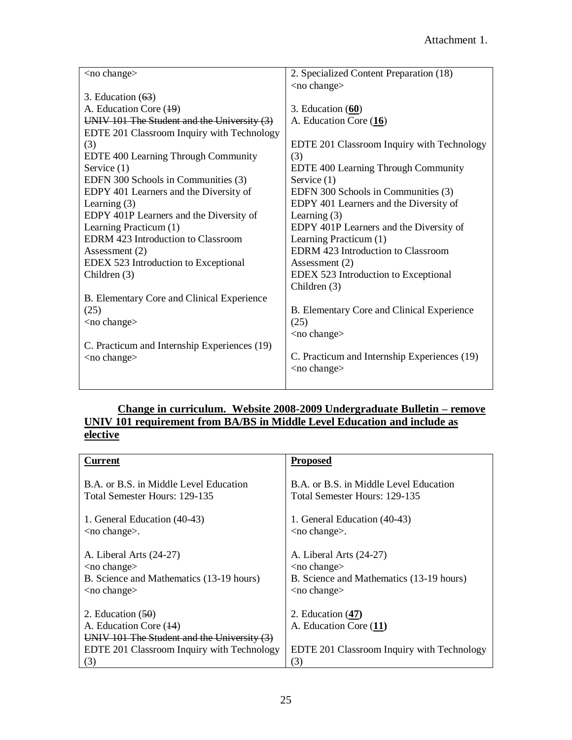| $<$ no change $>$                            | 2. Specialized Content Preparation (18)      |
|----------------------------------------------|----------------------------------------------|
|                                              | <no change=""></no>                          |
| 3. Education $(63)$                          |                                              |
| A. Education Core (19)                       | 3. Education $(60)$                          |
| UNIV 101 The Student and the University (3)  | A. Education Core (16)                       |
| EDTE 201 Classroom Inquiry with Technology   |                                              |
| (3)                                          | EDTE 201 Classroom Inquiry with Technology   |
| EDTE 400 Learning Through Community          | (3)                                          |
| Service $(1)$                                | EDTE 400 Learning Through Community          |
| EDFN 300 Schools in Communities (3)          | Service $(1)$                                |
| EDPY 401 Learners and the Diversity of       | EDFN 300 Schools in Communities (3)          |
| Learning $(3)$                               | EDPY 401 Learners and the Diversity of       |
| EDPY 401P Learners and the Diversity of      | Learning $(3)$                               |
| Learning Practicum (1)                       | EDPY 401P Learners and the Diversity of      |
| <b>EDRM</b> 423 Introduction to Classroom    | Learning Practicum (1)                       |
| Assessment $(2)$                             | <b>EDRM</b> 423 Introduction to Classroom    |
| EDEX 523 Introduction to Exceptional         | Assessment $(2)$                             |
| Children $(3)$                               | EDEX 523 Introduction to Exceptional         |
|                                              | Children (3)                                 |
| B. Elementary Core and Clinical Experience   |                                              |
| (25)                                         | B. Elementary Core and Clinical Experience   |
| <no change=""></no>                          | (25)                                         |
|                                              | $<$ no change $>$                            |
| C. Practicum and Internship Experiences (19) |                                              |
| $<$ no change $>$                            | C. Practicum and Internship Experiences (19) |
|                                              | $<$ no change $>$                            |
|                                              |                                              |

#### **Change in curriculum. Website 2008-2009 Undergraduate Bulletin – remove UNIV 101 requirement from BA/BS in Middle Level Education and include as elective**

| <b>Current</b>                                                                                                                             | <b>Proposed</b>                                                                             |
|--------------------------------------------------------------------------------------------------------------------------------------------|---------------------------------------------------------------------------------------------|
| B.A. or B.S. in Middle Level Education                                                                                                     | B.A. or B.S. in Middle Level Education                                                      |
| Total Semester Hours: 129-135                                                                                                              | Total Semester Hours: 129-135                                                               |
| 1. General Education (40-43)                                                                                                               | 1. General Education (40-43)                                                                |
| $<$ no change $>$ .                                                                                                                        | $<$ no change $>$ .                                                                         |
| A. Liberal Arts (24-27)                                                                                                                    | A. Liberal Arts (24-27)                                                                     |
| $<$ no change $>$                                                                                                                          | $<$ no change $>$                                                                           |
| B. Science and Mathematics (13-19 hours)                                                                                                   | B. Science and Mathematics (13-19 hours)                                                    |
| $<$ no change $>$                                                                                                                          | $<$ no change $>$                                                                           |
| 2. Education $(50)$<br>A. Education Core (14)<br>UNIV 101 The Student and the University (3)<br>EDTE 201 Classroom Inquiry with Technology | 2. Education $(47)$<br>A. Education Core (11)<br>EDTE 201 Classroom Inquiry with Technology |
| (3)                                                                                                                                        | (3)                                                                                         |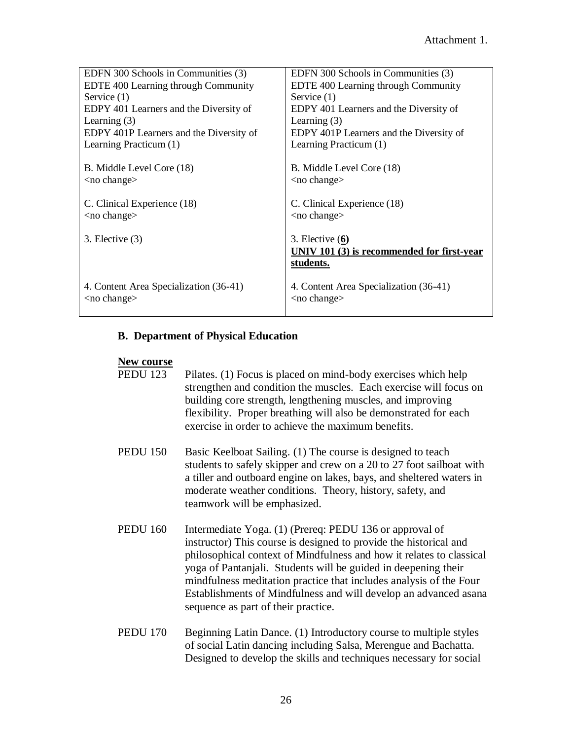| EDFN 300 Schools in Communities (3)     | EDFN 300 Schools in Communities (3)        |
|-----------------------------------------|--------------------------------------------|
| EDTE 400 Learning through Community     | EDTE 400 Learning through Community        |
| Service $(1)$                           | Service $(1)$                              |
| EDPY 401 Learners and the Diversity of  | EDPY 401 Learners and the Diversity of     |
| Learning $(3)$                          | Learning $(3)$                             |
| EDPY 401P Learners and the Diversity of | EDPY 401P Learners and the Diversity of    |
| Learning Practicum (1)                  | Learning Practicum (1)                     |
|                                         |                                            |
| B. Middle Level Core (18)               | B. Middle Level Core (18)                  |
| $<$ no change $>$                       | $<$ no change $>$                          |
|                                         |                                            |
| C. Clinical Experience (18)             | C. Clinical Experience (18)                |
| $<$ no change $>$                       | $<$ no change $>$                          |
|                                         |                                            |
| 3. Elective $(3)$                       | 3. Elective $(6)$                          |
|                                         | UNIV 101 (3) is recommended for first-year |
|                                         | students.                                  |
|                                         |                                            |
| 4. Content Area Specialization (36-41)  | 4. Content Area Specialization (36-41)     |
| $<$ no change $>$                       | $<$ no change $>$                          |
|                                         |                                            |

#### **B. Department of Physical Education**

#### **New course**

| <b>PEDU</b> 123 | Pilates. (1) Focus is placed on mind-body exercises which help    |
|-----------------|-------------------------------------------------------------------|
|                 | strengthen and condition the muscles. Each exercise will focus on |
|                 | building core strength, lengthening muscles, and improving        |
|                 | flexibility. Proper breathing will also be demonstrated for each  |
|                 | exercise in order to achieve the maximum benefits.                |

- PEDU 150 Basic Keelboat Sailing. (1) The course is designed to teach students to safely skipper and crew on a 20 to 27 foot sailboat with a tiller and outboard engine on lakes, bays, and sheltered waters in moderate weather conditions. Theory, history, safety, and teamwork will be emphasized.
- PEDU 160 Intermediate Yoga. (1) (Prereq: PEDU 136 or approval of instructor) This course is designed to provide the historical and philosophical context of Mindfulness and how it relates to classical yoga of Pantanjali. Students will be guided in deepening their mindfulness meditation practice that includes analysis of the Four Establishments of Mindfulness and will develop an advanced asana sequence as part of their practice.
- PEDU 170 Beginning Latin Dance. (1) Introductory course to multiple styles of social Latin dancing including Salsa, Merengue and Bachatta. Designed to develop the skills and techniques necessary for social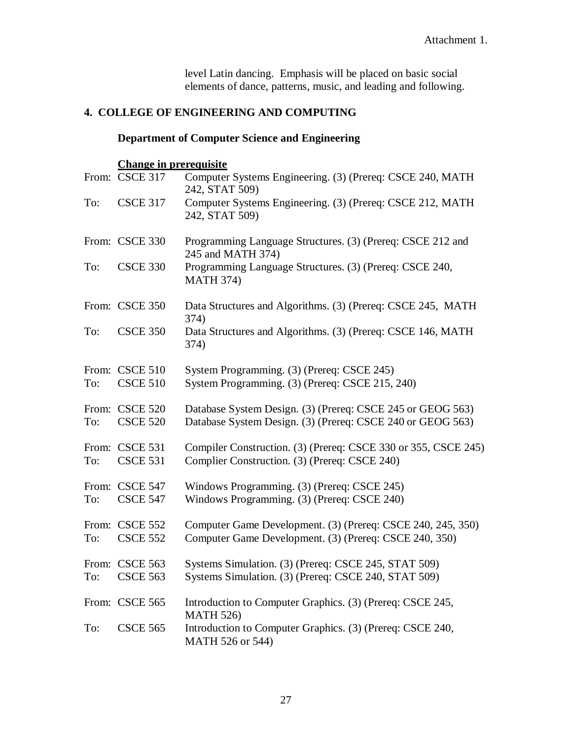level Latin dancing. Emphasis will be placed on basic social elements of dance, patterns, music, and leading and following.

### **4. COLLEGE OF ENGINEERING AND COMPUTING**

#### **Department of Computer Science and Engineering**

#### **Change in prerequisite**

|     | From: CSCE 317                    | Computer Systems Engineering. (3) (Prereq: CSCE 240, MATH<br>242, STAT 509)                                              |
|-----|-----------------------------------|--------------------------------------------------------------------------------------------------------------------------|
| To: | <b>CSCE 317</b>                   | Computer Systems Engineering. (3) (Prereq: CSCE 212, MATH<br>242, STAT 509)                                              |
|     | From: CSCE 330                    | Programming Language Structures. (3) (Prereq: CSCE 212 and<br>245 and MATH 374)                                          |
| To: | <b>CSCE 330</b>                   | Programming Language Structures. (3) (Prereq: CSCE 240,<br><b>MATH 374)</b>                                              |
|     | From: CSCE 350                    | Data Structures and Algorithms. (3) (Prereq: CSCE 245, MATH<br>374)                                                      |
| To: | <b>CSCE 350</b>                   | Data Structures and Algorithms. (3) (Prereq: CSCE 146, MATH<br>374)                                                      |
| To: | From: CSCE 510<br><b>CSCE 510</b> | System Programming. (3) (Prereq: CSCE 245)<br>System Programming. (3) (Prereq: CSCE 215, 240)                            |
| To: | From: CSCE 520<br><b>CSCE 520</b> | Database System Design. (3) (Prereq: CSCE 245 or GEOG 563)<br>Database System Design. (3) (Prereq: CSCE 240 or GEOG 563) |
| To: | From: CSCE 531<br><b>CSCE 531</b> | Compiler Construction. (3) (Prereq: CSCE 330 or 355, CSCE 245)<br>Complier Construction. (3) (Prereq: CSCE 240)          |
| To: | From: CSCE 547<br><b>CSCE 547</b> | Windows Programming. (3) (Prereq: CSCE 245)<br>Windows Programming. (3) (Prereq: CSCE 240)                               |
| To: | From: CSCE 552<br><b>CSCE 552</b> | Computer Game Development. (3) (Prereq: CSCE 240, 245, 350)<br>Computer Game Development. (3) (Prereq: CSCE 240, 350)    |
|     | From: CSCE 563                    | Systems Simulation. (3) (Prereq: CSCE 245, STAT 509)                                                                     |
| To: | <b>CSCE 563</b>                   | Systems Simulation. (3) (Prereq: CSCE 240, STAT 509)                                                                     |
|     | From: CSCE 565                    | Introduction to Computer Graphics. (3) (Prereq: CSCE 245,<br><b>MATH 526)</b>                                            |
| To: | <b>CSCE 565</b>                   | Introduction to Computer Graphics. (3) (Prereq: CSCE 240,<br>MATH 526 or 544)                                            |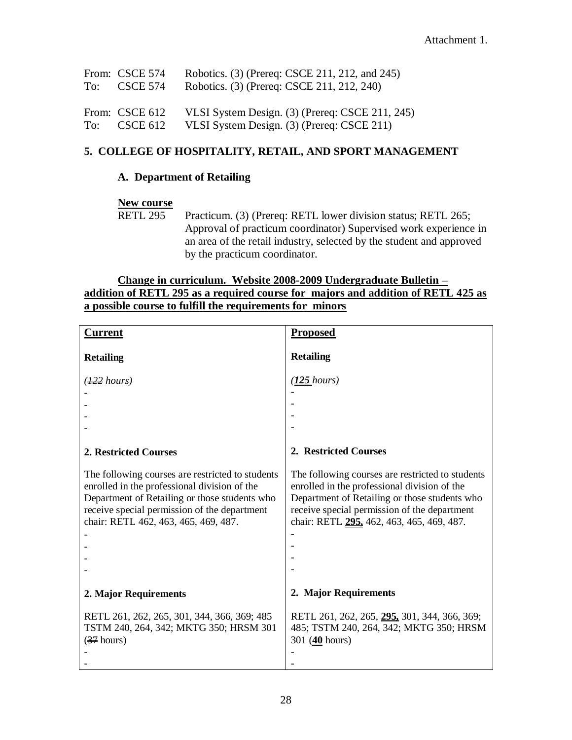| From: CSCE 574<br>$To: \csc E 574$       | Robotics. (3) (Prereq: CSCE 211, 212, and 245)<br>Robotics. (3) (Prereq: CSCE 211, 212, 240)  |
|------------------------------------------|-----------------------------------------------------------------------------------------------|
| From: CSCE 612<br>To: $\text{CSCE } 612$ | VLSI System Design. (3) (Prereq: CSCE 211, 245)<br>VLSI System Design. (3) (Prereq: CSCE 211) |

#### **5. COLLEGE OF HOSPITALITY, RETAIL, AND SPORT MANAGEMENT**

#### **A. Department of Retailing**

#### **New course**

RETL 295 Practicum. (3) (Prereq: RETL lower division status; RETL 265; Approval of practicum coordinator) Supervised work experience in an area of the retail industry, selected by the student and approved by the practicum coordinator.

#### **Change in curriculum. Website 2008-2009 Undergraduate Bulletin – addition of RETL 295 as a required course for majors and addition of RETL 425 as a possible course to fulfill the requirements for minors**

| <b>Current</b>                                                                                                                                                                                                                            | <b>Proposed</b>                                                                                                                                                                                                                                |  |
|-------------------------------------------------------------------------------------------------------------------------------------------------------------------------------------------------------------------------------------------|------------------------------------------------------------------------------------------------------------------------------------------------------------------------------------------------------------------------------------------------|--|
| <b>Retailing</b>                                                                                                                                                                                                                          | <b>Retailing</b>                                                                                                                                                                                                                               |  |
| $\left(\frac{122}{12}\text{hours}\right)$                                                                                                                                                                                                 | ( <u>125 hours)</u>                                                                                                                                                                                                                            |  |
|                                                                                                                                                                                                                                           |                                                                                                                                                                                                                                                |  |
|                                                                                                                                                                                                                                           |                                                                                                                                                                                                                                                |  |
|                                                                                                                                                                                                                                           |                                                                                                                                                                                                                                                |  |
| 2. Restricted Courses                                                                                                                                                                                                                     | 2. Restricted Courses                                                                                                                                                                                                                          |  |
| The following courses are restricted to students<br>enrolled in the professional division of the<br>Department of Retailing or those students who<br>receive special permission of the department<br>chair: RETL 462, 463, 465, 469, 487. | The following courses are restricted to students<br>enrolled in the professional division of the<br>Department of Retailing or those students who<br>receive special permission of the department<br>chair: RETL 295, 462, 463, 465, 469, 487. |  |
| 2. Major Requirements                                                                                                                                                                                                                     | 2. Major Requirements                                                                                                                                                                                                                          |  |
| RETL 261, 262, 265, 301, 344, 366, 369; 485<br>TSTM 240, 264, 342; MKTG 350; HRSM 301<br>$(37$ hours)                                                                                                                                     | RETL 261, 262, 265, 295, 301, 344, 366, 369;<br>485; TSTM 240, 264, 342; MKTG 350; HRSM<br>301 $(40 \text{ hours})$                                                                                                                            |  |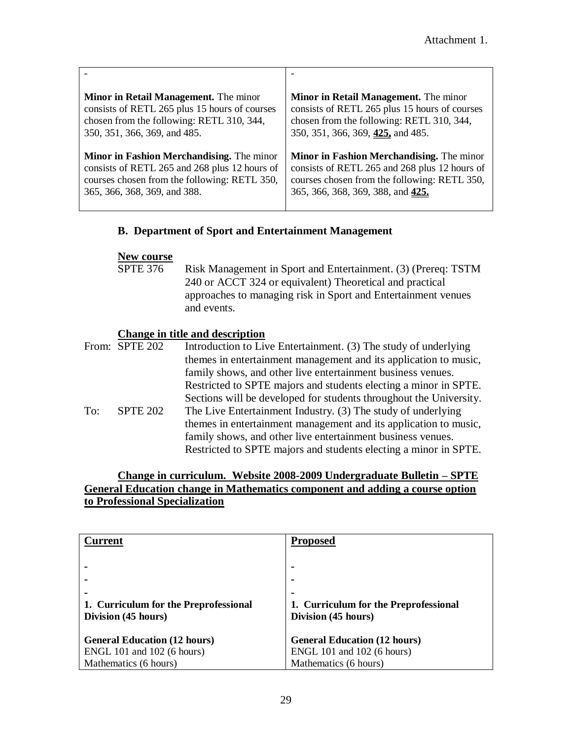| <b>Minor in Retail Management.</b> The minor     | <b>Minor in Retail Management.</b> The minor  |
|--------------------------------------------------|-----------------------------------------------|
| consists of RETL 265 plus 15 hours of courses    | consists of RETL 265 plus 15 hours of courses |
| chosen from the following: RETL 310, 344,        | chosen from the following: RETL 310, 344,     |
| 350, 351, 366, 369, and 485.                     | 350, 351, 366, 369, 425, and 485.             |
| <b>Minor in Fashion Merchandising.</b> The minor | Minor in Fashion Merchandising. The minor     |
| consists of RETL 265 and 268 plus 12 hours of    | consists of RETL 265 and 268 plus 12 hours of |
| courses chosen from the following: RETL 350,     | courses chosen from the following: RETL 350,  |
| 365, 366, 368, 369, and 388.                     | 365, 366, 368, 369, 388, and 425.             |

#### **B. Department of Sport and Entertainment Management**

# **New course**<br>SPTE 376

Risk Management in Sport and Entertainment. (3) (Prereq: TSTM 240 or ACCT 324 or equivalent) Theoretical and practical approaches to managing risk in Sport and Entertainment venues and events.

#### **Change in title and description**

|     | From: SPTE 202  | Introduction to Live Entertainment. (3) The study of underlying    |
|-----|-----------------|--------------------------------------------------------------------|
|     |                 | themes in entertainment management and its application to music,   |
|     |                 | family shows, and other live entertainment business venues.        |
|     |                 | Restricted to SPTE majors and students electing a minor in SPTE.   |
|     |                 | Sections will be developed for students throughout the University. |
| To: | <b>SPTE 202</b> | The Live Entertainment Industry. (3) The study of underlying       |
|     |                 | themes in entertainment management and its application to music,   |
|     |                 | family shows, and other live entertainment business venues.        |
|     |                 | Restricted to SPTE majors and students electing a minor in SPTE.   |

#### **Change in curriculum. Website 2008-2009 Undergraduate Bulletin – SPTE General Education change in Mathematics component and adding a course option to Professional Specialization**

| $\boldsymbol{\varGamma}$ urrent       | <b>Proposed</b>                       |
|---------------------------------------|---------------------------------------|
|                                       | $\blacksquare$                        |
|                                       |                                       |
|                                       | $\blacksquare$                        |
| 1. Curriculum for the Preprofessional | 1. Curriculum for the Preprofessional |
| Division (45 hours)                   | Division (45 hours)                   |
|                                       |                                       |
| <b>General Education (12 hours)</b>   | <b>General Education (12 hours)</b>   |
| ENGL 101 and 102 (6 hours)            | ENGL 101 and 102 (6 hours)            |
| Mathematics (6 hours)                 | Mathematics (6 hours)                 |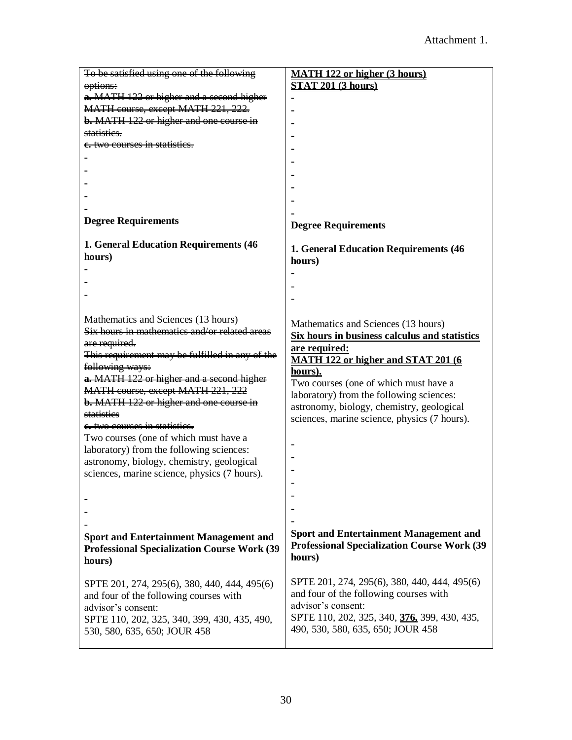| To be satisfied using one of the following          | <b>MATH 122 or higher (3 hours)</b>                  |
|-----------------------------------------------------|------------------------------------------------------|
| options:                                            | <b>STAT 201 (3 hours)</b>                            |
| a. MATH 122 or higher and a second higher           |                                                      |
| MATH course, except MATH 221, 222.                  |                                                      |
| <b>b.</b> MATH 122 or higher and one course in      |                                                      |
| statisties.                                         |                                                      |
| e. two courses in statistics.                       |                                                      |
|                                                     |                                                      |
|                                                     |                                                      |
|                                                     |                                                      |
|                                                     |                                                      |
|                                                     |                                                      |
|                                                     |                                                      |
| <b>Degree Requirements</b>                          | <b>Degree Requirements</b>                           |
|                                                     |                                                      |
| <b>1. General Education Requirements (46)</b>       | 1. General Education Requirements (46                |
| hours)                                              | hours)                                               |
|                                                     |                                                      |
|                                                     |                                                      |
|                                                     |                                                      |
|                                                     |                                                      |
| Mathematics and Sciences (13 hours)                 | Mathematics and Sciences (13 hours)                  |
| Six hours in mathematics and/or related areas       | <b>Six hours in business calculus and statistics</b> |
| are required.                                       | are required:                                        |
| This requirement may be fulfilled in any of the     | <b>MATH 122 or higher and STAT 201 (6)</b>           |
| following ways:                                     | hours).                                              |
| a. MATH 122 or higher and a second higher           | Two courses (one of which must have a                |
| MATH course, except MATH 221, 222                   | laboratory) from the following sciences:             |
| <b>b.</b> MATH 122 or higher and one course in      | astronomy, biology, chemistry, geological            |
| statistics                                          | sciences, marine science, physics (7 hours).         |
| e. two courses in statisties.                       |                                                      |
| Two courses (one of which must have a               |                                                      |
| laboratory) from the following sciences:            |                                                      |
| astronomy, biology, chemistry, geological           |                                                      |
| sciences, marine science, physics (7 hours).        |                                                      |
|                                                     |                                                      |
|                                                     |                                                      |
|                                                     |                                                      |
|                                                     |                                                      |
| <b>Sport and Entertainment Management and</b>       | <b>Sport and Entertainment Management and</b>        |
| <b>Professional Specialization Course Work (39)</b> | <b>Professional Specialization Course Work (39)</b>  |
| hours)                                              | hours)                                               |
|                                                     |                                                      |
| SPTE 201, 274, 295(6), 380, 440, 444, 495(6)        | SPTE 201, 274, 295(6), 380, 440, 444, 495(6)         |
| and four of the following courses with              | and four of the following courses with               |
| advisor's consent:                                  | advisor's consent:                                   |
| SPTE 110, 202, 325, 340, 399, 430, 435, 490,        | SPTE 110, 202, 325, 340, 376, 399, 430, 435,         |
| 530, 580, 635, 650; JOUR 458                        | 490, 530, 580, 635, 650; JOUR 458                    |
|                                                     |                                                      |